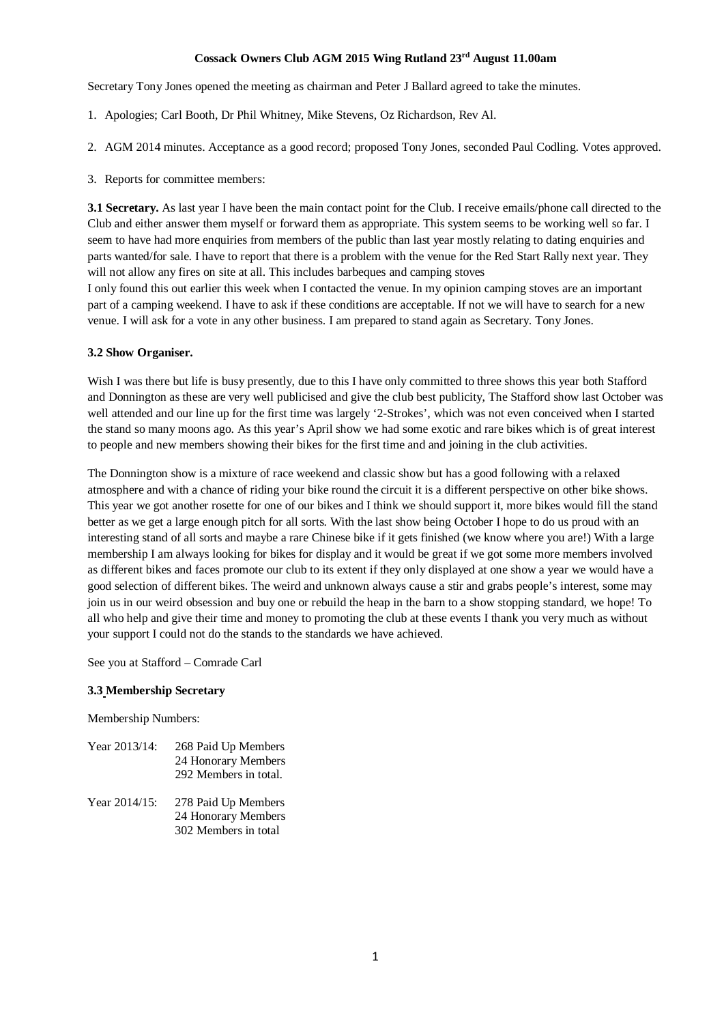# **Cossack Owners Club AGM 2015 Wing Rutland 23rd August 11.00am**

Secretary Tony Jones opened the meeting as chairman and Peter J Ballard agreed to take the minutes.

- 1. Apologies; Carl Booth, Dr Phil Whitney, Mike Stevens, Oz Richardson, Rev Al.
- 2. AGM 2014 minutes. Acceptance as a good record; proposed Tony Jones, seconded Paul Codling. Votes approved.
- 3. Reports for committee members:

**3.1 Secretary.** As last year I have been the main contact point for the Club. I receive emails/phone call directed to the Club and either answer them myself or forward them as appropriate. This system seems to be working well so far. I seem to have had more enquiries from members of the public than last year mostly relating to dating enquiries and parts wanted/for sale. I have to report that there is a problem with the venue for the Red Start Rally next year. They will not allow any fires on site at all. This includes barbeques and camping stoves

I only found this out earlier this week when I contacted the venue. In my opinion camping stoves are an important part of a camping weekend. I have to ask if these conditions are acceptable. If not we will have to search for a new venue. I will ask for a vote in any other business. I am prepared to stand again as Secretary. Tony Jones.

# **3.2 Show Organiser.**

Wish I was there but life is busy presently, due to this I have only committed to three shows this year both Stafford and Donnington as these are very well publicised and give the club best publicity, The Stafford show last October was well attended and our line up for the first time was largely '2-Strokes', which was not even conceived when I started the stand so many moons ago. As this year's April show we had some exotic and rare bikes which is of great interest to people and new members showing their bikes for the first time and and joining in the club activities.

The Donnington show is a mixture of race weekend and classic show but has a good following with a relaxed atmosphere and with a chance of riding your bike round the circuit it is a different perspective on other bike shows. This year we got another rosette for one of our bikes and I think we should support it, more bikes would fill the stand better as we get a large enough pitch for all sorts. With the last show being October I hope to do us proud with an interesting stand of all sorts and maybe a rare Chinese bike if it gets finished (we know where you are!) With a large membership I am always looking for bikes for display and it would be great if we got some more members involved as different bikes and faces promote our club to its extent if they only displayed at one show a year we would have a good selection of different bikes. The weird and unknown always cause a stir and grabs people's interest, some may join us in our weird obsession and buy one or rebuild the heap in the barn to a show stopping standard, we hope! To all who help and give their time and money to promoting the club at these events I thank you very much as without your support I could not do the stands to the standards we have achieved.

See you at Stafford – Comrade Carl

### **3.3 Membership Secretary**

Membership Numbers:

| Year 2013/14: | 268 Paid Up Members   |
|---------------|-----------------------|
|               | 24 Honorary Members   |
|               | 292 Members in total. |
|               |                       |

Year 2014/15: 278 Paid Up Members 24 Honorary Members 302 Members in total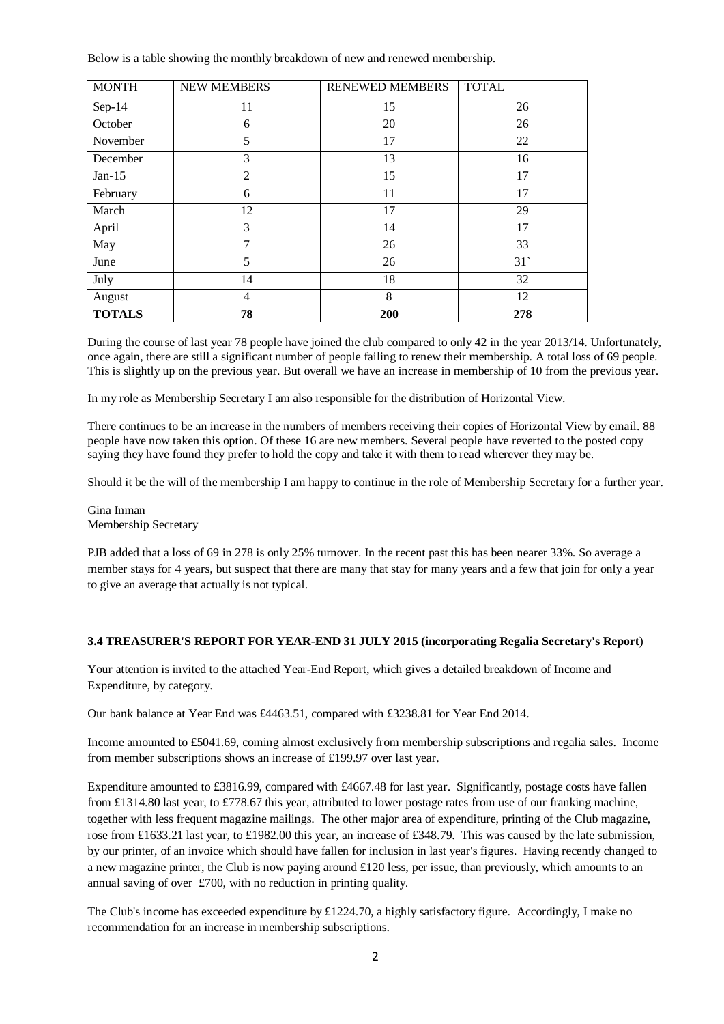Below is a table showing the monthly breakdown of new and renewed membership.

| <b>MONTH</b>  | <b>NEW MEMBERS</b> | <b>RENEWED MEMBERS</b> | <b>TOTAL</b> |
|---------------|--------------------|------------------------|--------------|
| $Sep-14$      | 11                 | 15                     | 26           |
| October       | 6                  | 20                     | 26           |
| November      | 5                  | 17                     | 22           |
| December      | 3                  | 13                     | 16           |
| $Jan-15$      | $\overline{2}$     | 15                     | 17           |
| February      | 6                  | 11                     | 17           |
| March         | 12                 | 17                     | 29           |
| April         | 3                  | 14                     | 17           |
| May           | 7                  | 26                     | 33           |
| June          | 5                  | 26                     | 31           |
| July          | 14                 | 18                     | 32           |
| August        | $\overline{4}$     | 8                      | 12           |
| <b>TOTALS</b> | 78                 | 200                    | 278          |

During the course of last year 78 people have joined the club compared to only 42 in the year 2013/14. Unfortunately, once again, there are still a significant number of people failing to renew their membership. A total loss of 69 people. This is slightly up on the previous year. But overall we have an increase in membership of 10 from the previous year.

In my role as Membership Secretary I am also responsible for the distribution of Horizontal View.

There continues to be an increase in the numbers of members receiving their copies of Horizontal View by email. 88 people have now taken this option. Of these 16 are new members. Several people have reverted to the posted copy saying they have found they prefer to hold the copy and take it with them to read wherever they may be.

Should it be the will of the membership I am happy to continue in the role of Membership Secretary for a further year.

Gina Inman Membership Secretary

PJB added that a loss of 69 in 278 is only 25% turnover. In the recent past this has been nearer 33%. So average a member stays for 4 years, but suspect that there are many that stay for many years and a few that join for only a year to give an average that actually is not typical.

### **3.4 TREASURER'S REPORT FOR YEAR-END 31 JULY 2015 (incorporating Regalia Secretary's Report**)

Your attention is invited to the attached Year-End Report, which gives a detailed breakdown of Income and Expenditure, by category.

Our bank balance at Year End was £4463.51, compared with £3238.81 for Year End 2014.

Income amounted to £5041.69, coming almost exclusively from membership subscriptions and regalia sales. Income from member subscriptions shows an increase of £199.97 over last year.

Expenditure amounted to £3816.99, compared with £4667.48 for last year. Significantly, postage costs have fallen from £1314.80 last year, to £778.67 this year, attributed to lower postage rates from use of our franking machine, together with less frequent magazine mailings. The other major area of expenditure, printing of the Club magazine, rose from £1633.21 last year, to £1982.00 this year, an increase of £348.79. This was caused by the late submission, by our printer, of an invoice which should have fallen for inclusion in last year's figures. Having recently changed to a new magazine printer, the Club is now paying around  $\pounds120$  less, per issue, than previously, which amounts to an annual saving of over £700, with no reduction in printing quality.

The Club's income has exceeded expenditure by £1224.70, a highly satisfactory figure. Accordingly, I make no recommendation for an increase in membership subscriptions.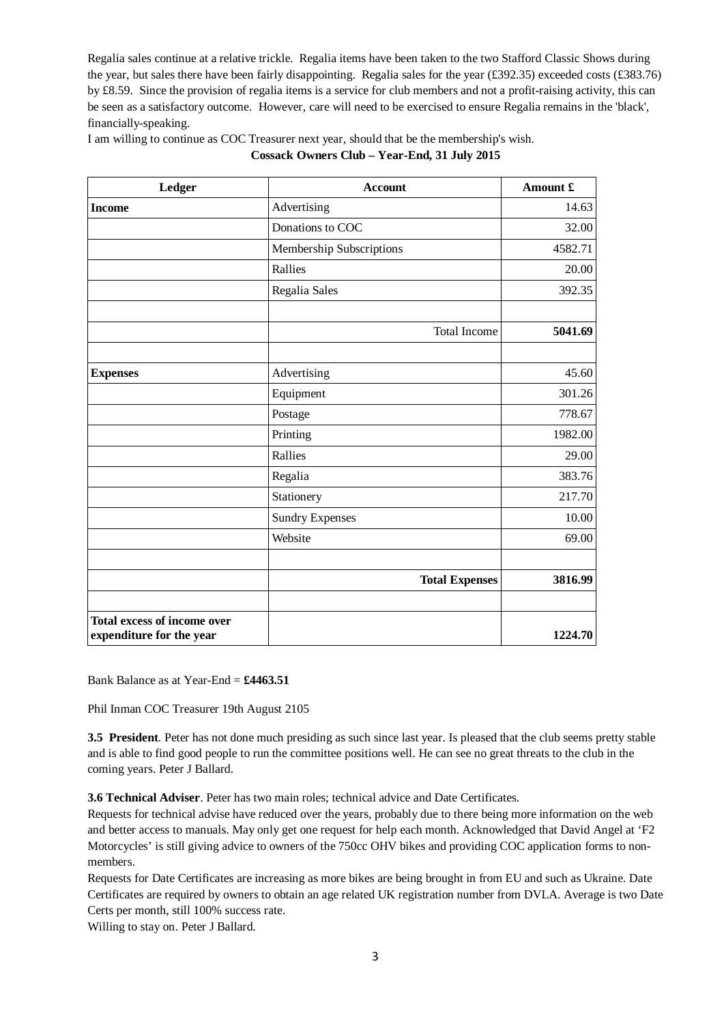Regalia sales continue at a relative trickle. Regalia items have been taken to the two Stafford Classic Shows during the year, but sales there have been fairly disappointing. Regalia sales for the year (£392.35) exceeded costs (£383.76) by £8.59. Since the provision of regalia items is a service for club members and not a profit-raising activity, this can be seen as a satisfactory outcome. However, care will need to be exercised to ensure Regalia remains in the 'black', financially-speaking.

I am willing to continue as COC Treasurer next year, should that be the membership's wish.

|  |  |  |  | Cossack Owners Club – Year-End, 31 July 2015 |
|--|--|--|--|----------------------------------------------|
|--|--|--|--|----------------------------------------------|

| Ledger                                                         | <b>Account</b>           | Amount £ |
|----------------------------------------------------------------|--------------------------|----------|
| <b>Income</b>                                                  | Advertising              | 14.63    |
|                                                                | Donations to COC         | 32.00    |
|                                                                | Membership Subscriptions | 4582.71  |
|                                                                | Rallies                  | 20.00    |
|                                                                | Regalia Sales            | 392.35   |
|                                                                | <b>Total Income</b>      | 5041.69  |
| <b>Expenses</b>                                                | Advertising              | 45.60    |
|                                                                | Equipment                | 301.26   |
|                                                                | Postage                  | 778.67   |
|                                                                | Printing                 | 1982.00  |
|                                                                | Rallies                  | 29.00    |
|                                                                | Regalia                  | 383.76   |
|                                                                | Stationery               | 217.70   |
|                                                                | <b>Sundry Expenses</b>   | 10.00    |
|                                                                | Website                  | 69.00    |
|                                                                |                          |          |
|                                                                | <b>Total Expenses</b>    | 3816.99  |
| <b>Total excess of income over</b><br>expenditure for the year |                          | 1224.70  |

Bank Balance as at Year-End = **£4463.51**

Phil Inman COC Treasurer 19th August 2105

**3.5 President**. Peter has not done much presiding as such since last year. Is pleased that the club seems pretty stable and is able to find good people to run the committee positions well. He can see no great threats to the club in the coming years. Peter J Ballard.

**3.6 Technical Adviser**. Peter has two main roles; technical advice and Date Certificates.

Requests for technical advise have reduced over the years, probably due to there being more information on the web and better access to manuals. May only get one request for help each month. Acknowledged that David Angel at 'F2 Motorcycles' is still giving advice to owners of the 750cc OHV bikes and providing COC application forms to nonmembers.

Requests for Date Certificates are increasing as more bikes are being brought in from EU and such as Ukraine. Date Certificates are required by owners to obtain an age related UK registration number from DVLA. Average is two Date Certs per month, still 100% success rate.

Willing to stay on. Peter J Ballard.